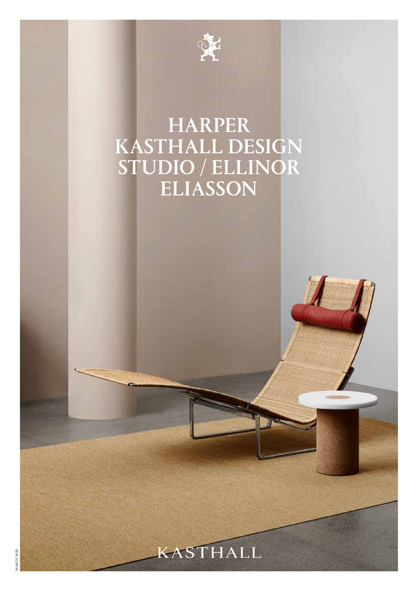

# HARPER KASTHALL DESIGN STUDIO / ELLINOR ELIASSON

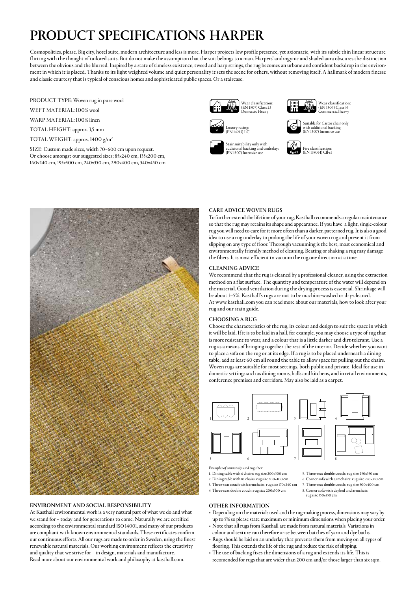### PRODUCT SPECIFICATIONS HARPER

Cosmopolitics, please. Big city, hotel suite, modern architecture and less is more. Harper projects low profile presence, yet axiomatic, with its subtle thin linear structure flirting with the thought of tailored suits. But do not make the assumption that the suit belongs to a man. Harpers' androgynic and shaded aura obscures the distinction between the obvious and the blurred. Inspired by a state of timeless existence, tweed and harp strings, the rug becomes an urbane and confident backdrop in the environment in which it is placed. Thanks to its light weighted volume and quiet personality it sets the scene for others, without removing itself. A hallmark of modern finesse and classic courtesy that is typical of conscious homes and sophisticated public spaces. Or a staircase.

PRODUCT TYPE: Woven rug in pure wool

WEFT MATERIAL: 100% wool

WARP MATERIAL: 100% linen

TOTAL HEIGHT: approx. 3,5 mm

TOTAL WEIGHT: approx. 1400 g/m2

SIZE: Custom made sizes, width 70–600 cm upon request. Or choose amongst our suggested sizes; 85x240 cm, 135x200 cm, 160x240 cm, 195x300 cm, 240x350 cm, 290x400 cm, 340x450 cm.





Suitable for Castor chair only with additional backing: (EN 1307) Intensive use









### ENVIRONMENT AND SOCIAL RESPONSIBILITY

At Kasthall environmental work is a very natural part of what we do and what we stand for – today and for generations to come. Naturally we are certified according to the environmental standard ISO 14001, and many of our products are compliant with known environmental standards. These certificates confirm our continuous efforts. All our rugs are made to order in Sweden, using the finest renewable natural materials. Our working environment reflects the creativity and quality that we strive for – in design, materials and manufacture. Read more about our environmental work and philosophy at kasthall.com.

#### CARE ADVICE WOVEN RUGS

To further extend the lifetime of your rug, Kasthall recommends a regular maintenance so that the rug may retains its shape and appearance. If you have a light, single-colour rug you will need to care for it more often than a darker, patterned rug. It is also a good idea to use a rug underlay to prolong the life of your woven rug and prevent it from slipping on any type of floor. Thorough vacuuming is the best, most economical and environmentally friendly method of cleaning. Beating or shaking a rug may damage the fibers. It is most efficient to vacuum the rug one direction at a time.

#### CLEANING ADVICE

We recommend that the rug is cleaned by a professional cleaner, using the extraction method on a flat surface. The quantity and temperature of the water will depend on the material. Good ventilation during the drying process is essential. Shrinkage will be about 3–5%. Kasthall's rugs are not to be machine-washed or dry-cleaned. At www.kasthall.com you can read more about our materials, how to look after your rug and our stain guide.

### CHOOSING A RUG

Choose the characteristics of the rug, its colour and design to suit the space in which it will be laid. If it is to be laid in a hall, for example, you may choose a type of rug that is more resistant to wear, and a colour that is a little darker and dirt-tolerant. Use a rug as a means of bringing together the rest of the interior. Decide whether you want to place a sofa on the rug or at its edge. If a rug is to be placed underneath a dining table, add at least 60 cm all round the table to allow space for pulling out the chairs. Woven rugs are suitable for most settings, both public and private. Ideal for use in domestic settings such as dining rooms, halls and kitchens, and in retail environments, conference premises and corridors. May also be laid as a carpet.



Armchair 80x80 *Examples of commonly used rug sizes:*

1. Dining table with 6 chairs: rug size 200x300 cm 2. Dining table with 10 chairs: rug size 300x400 cm

- 3. Three-seat couch with armchairs: rug size 170x240 cm
- 4. Three-seat double couch: rug size 200x300 cm

### OTHER INFORMATION

• Depending on the materials used and the rug-making process, dimensions may vary by

5. Three-seat double couch: rug size 250x350 cm 6. Corner sofa with armchairs: rug size 250x350 cm 7. Three-seat double couch: rug size 300x400 cm 8. Corner sofa with daybed and armchair:

rug size 350x450 cm

- up to 5% so please state maximum or minimum dimensions when placing your order. • Note that all rugs from Kasthall are made from natural materials. Variations in
- colour and texture can therefore arise between batches of yarn and dye baths. • Rugs should be laid on an underlay that prevents them from moving on all types of
- flooring. This extends the life of the rug and reduce the risk of slipping.
- The use of backing fixes the dimensions of a rug and extends its life. This is recomended for rugs that are wider than 200 cm and/or those larger than six sqm.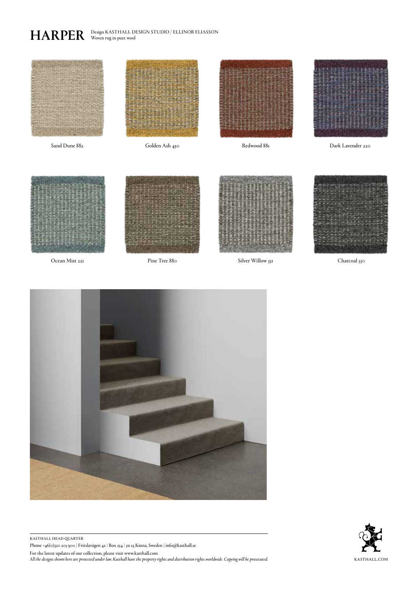HARPER Design KASTHALL DESIGN STUDIO / ELLINOR ELIASSON



Pine Tree 880







kasthall head quarter Phone +46(0)320 205 900 | Fritslavägen 42 | Box 254 | 511 23 Kinna, Sweden | info@kasthall.se For the latest updates of our collection, please visit www.kasthall.com *All the designs shown here are protected under law. Kasthall have the property rights and distribution rights worldwide. Copying will be prosecuted.* KASTHALL.COM